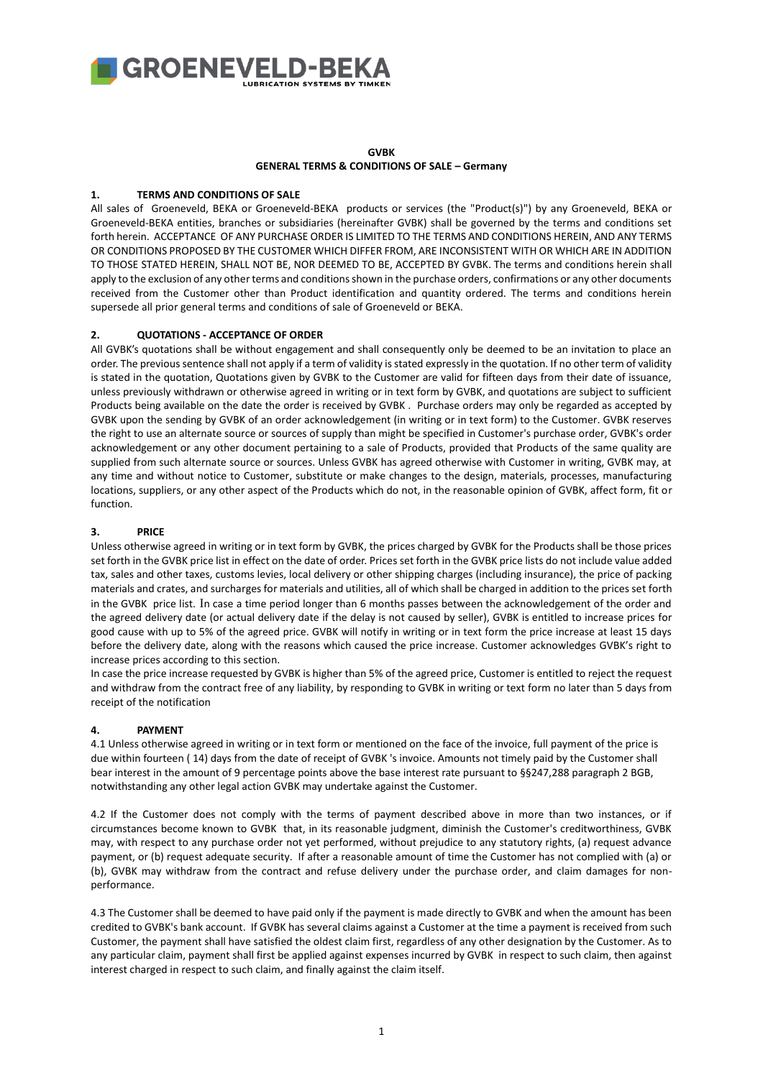

### **GVBK GENERAL TERMS & CONDITIONS OF SALE – Germany**

### **1. TERMS AND CONDITIONS OF SALE**

All sales of Groeneveld, BEKA or Groeneveld-BEKA products or services (the "Product(s)") by any Groeneveld, BEKA or Groeneveld-BEKA entities, branches or subsidiaries (hereinafter GVBK) shall be governed by the terms and conditions set forth herein. ACCEPTANCE OF ANY PURCHASE ORDER IS LIMITED TO THE TERMS AND CONDITIONS HEREIN, AND ANY TERMS OR CONDITIONS PROPOSED BY THE CUSTOMER WHICH DIFFER FROM, ARE INCONSISTENT WITH OR WHICH ARE IN ADDITION TO THOSE STATED HEREIN, SHALL NOT BE, NOR DEEMED TO BE, ACCEPTED BY GVBK. The terms and conditions herein shall apply to the exclusion of any other terms and conditions shown in the purchase orders, confirmations or any other documents received from the Customer other than Product identification and quantity ordered. The terms and conditions herein supersede all prior general terms and conditions of sale of Groeneveld or BEKA.

## **2. QUOTATIONS - ACCEPTANCE OF ORDER**

All GVBK's quotations shall be without engagement and shall consequently only be deemed to be an invitation to place an order. The previous sentence shall not apply if a term of validity is stated expressly in the quotation. If no other term of validity is stated in the quotation, Quotations given by GVBK to the Customer are valid for fifteen days from their date of issuance, unless previously withdrawn or otherwise agreed in writing or in text form by GVBK, and quotations are subject to sufficient Products being available on the date the order is received by GVBK . Purchase orders may only be regarded as accepted by GVBK upon the sending by GVBK of an order acknowledgement (in writing or in text form) to the Customer. GVBK reserves the right to use an alternate source or sources of supply than might be specified in Customer's purchase order, GVBK's order acknowledgement or any other document pertaining to a sale of Products, provided that Products of the same quality are supplied from such alternate source or sources. Unless GVBK has agreed otherwise with Customer in writing, GVBK may, at any time and without notice to Customer, substitute or make changes to the design, materials, processes, manufacturing locations, suppliers, or any other aspect of the Products which do not, in the reasonable opinion of GVBK, affect form, fit or function.

### **3. PRICE**

Unless otherwise agreed in writing or in text form by GVBK, the prices charged by GVBK for the Products shall be those prices set forth in the GVBK price list in effect on the date of order. Prices set forth in the GVBK price lists do not include value added tax, sales and other taxes, customs levies, local delivery or other shipping charges (including insurance), the price of packing materials and crates, and surcharges for materials and utilities, all of which shall be charged in addition to the prices set forth in the GVBK price list. In case a time period longer than 6 months passes between the acknowledgement of the order and the agreed delivery date (or actual delivery date if the delay is not caused by seller), GVBK is entitled to increase prices for good cause with up to 5% of the agreed price. GVBK will notify in writing or in text form the price increase at least 15 days before the delivery date, along with the reasons which caused the price increase. Customer acknowledges GVBK's right to increase prices according to this section.

In case the price increase requested by GVBK is higher than 5% of the agreed price, Customer is entitled to reject the request and withdraw from the contract free of any liability, by responding to GVBK in writing or text form no later than 5 days from receipt of the notification

### **4. PAYMENT**

4.1 Unless otherwise agreed in writing or in text form or mentioned on the face of the invoice, full payment of the price is due within fourteen ( 14) days from the date of receipt of GVBK 's invoice. Amounts not timely paid by the Customer shall bear interest in the amount of 9 percentage points above the base interest rate pursuant to §§247,288 paragraph 2 BGB, notwithstanding any other legal action GVBK may undertake against the Customer.

4.2 If the Customer does not comply with the terms of payment described above in more than two instances, or if circumstances become known to GVBK that, in its reasonable judgment, diminish the Customer's creditworthiness, GVBK may, with respect to any purchase order not yet performed, without prejudice to any statutory rights, (a) request advance payment, or (b) request adequate security. If after a reasonable amount of time the Customer has not complied with (a) or (b), GVBK may withdraw from the contract and refuse delivery under the purchase order, and claim damages for nonperformance.

4.3 The Customer shall be deemed to have paid only if the payment is made directly to GVBK and when the amount has been credited to GVBK's bank account. If GVBK has several claims against a Customer at the time a payment is received from such Customer, the payment shall have satisfied the oldest claim first, regardless of any other designation by the Customer. As to any particular claim, payment shall first be applied against expenses incurred by GVBK in respect to such claim, then against interest charged in respect to such claim, and finally against the claim itself.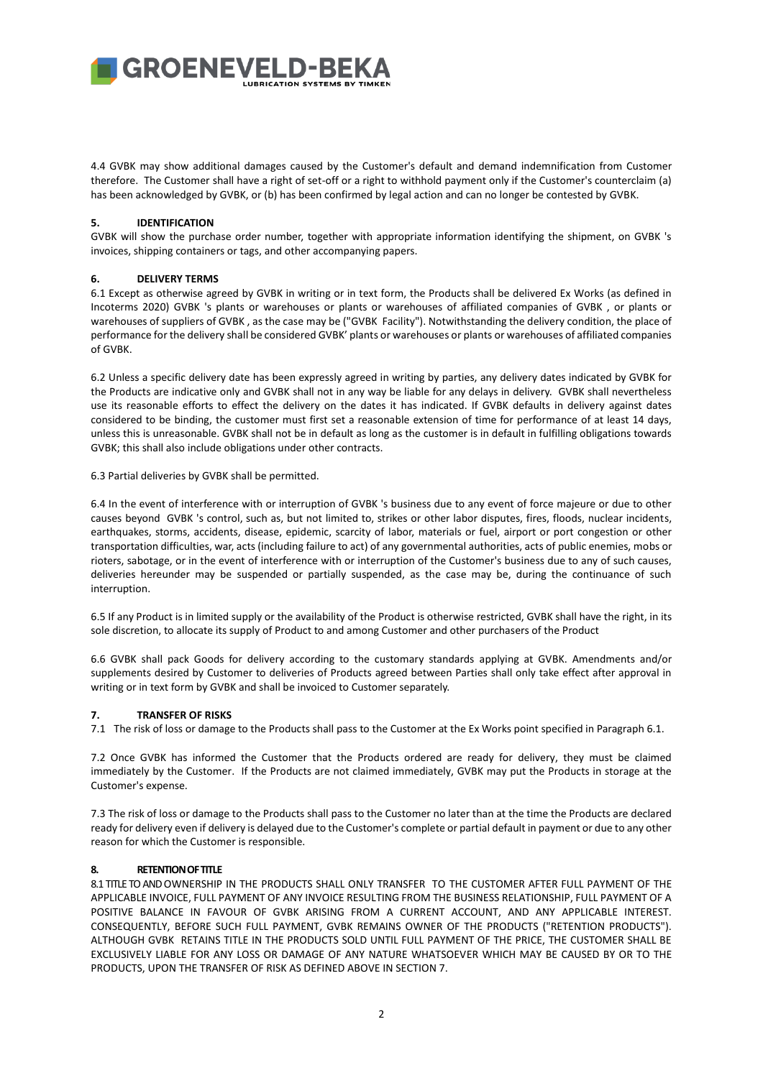4.4 GVBK may show additional damages caused by the Customer's default and demand indemnification from Customer therefore. The Customer shall have a right of set-off or a right to withhold payment only if the Customer's counterclaim (a) has been acknowledged by GVBK, or (b) has been confirmed by legal action and can no longer be contested by GVBK.

### **5. IDENTIFICATION**

GVBK will show the purchase order number, together with appropriate information identifying the shipment, on GVBK 's invoices, shipping containers or tags, and other accompanying papers.

### **6. DELIVERY TERMS**

6.1 Except as otherwise agreed by GVBK in writing or in text form, the Products shall be delivered Ex Works (as defined in Incoterms 2020) GVBK 's plants or warehouses or plants or warehouses of affiliated companies of GVBK , or plants or warehouses of suppliers of GVBK , as the case may be ("GVBK Facility"). Notwithstanding the delivery condition, the place of performance for the delivery shall be considered GVBK' plants or warehouses or plants or warehouses of affiliated companies of GVBK.

6.2 Unless a specific delivery date has been expressly agreed in writing by parties, any delivery dates indicated by GVBK for the Products are indicative only and GVBK shall not in any way be liable for any delays in delivery. GVBK shall nevertheless use its reasonable efforts to effect the delivery on the dates it has indicated. If GVBK defaults in delivery against dates considered to be binding, the customer must first set a reasonable extension of time for performance of at least 14 days, unless this is unreasonable. GVBK shall not be in default as long as the customer is in default in fulfilling obligations towards GVBK; this shall also include obligations under other contracts.

6.3 Partial deliveries by GVBK shall be permitted.

6.4 In the event of interference with or interruption of GVBK 's business due to any event of force majeure or due to other causes beyond GVBK 's control, such as, but not limited to, strikes or other labor disputes, fires, floods, nuclear incidents, earthquakes, storms, accidents, disease, epidemic, scarcity of labor, materials or fuel, airport or port congestion or other transportation difficulties, war, acts (including failure to act) of any governmental authorities, acts of public enemies, mobs or rioters, sabotage, or in the event of interference with or interruption of the Customer's business due to any of such causes, deliveries hereunder may be suspended or partially suspended, as the case may be, during the continuance of such interruption.

6.5 If any Product is in limited supply or the availability of the Product is otherwise restricted, GVBK shall have the right, in its sole discretion, to allocate its supply of Product to and among Customer and other purchasers of the Product

6.6 GVBK shall pack Goods for delivery according to the customary standards applying at GVBK. Amendments and/or supplements desired by Customer to deliveries of Products agreed between Parties shall only take effect after approval in writing or in text form by GVBK and shall be invoiced to Customer separately.

### **7. TRANSFER OF RISKS**

7.1 The risk of loss or damage to the Products shall pass to the Customer at the Ex Works point specified in Paragraph 6.1.

7.2 Once GVBK has informed the Customer that the Products ordered are ready for delivery, they must be claimed immediately by the Customer. If the Products are not claimed immediately, GVBK may put the Products in storage at the Customer's expense.

7.3 The risk of loss or damage to the Products shall pass to the Customer no later than at the time the Products are declared ready for delivery even if delivery is delayed due to the Customer's complete or partial default in payment or due to any other reason for which the Customer is responsible.

### **8. RETENTION OF TITLE**

8.1 TITLE TO AND OWNERSHIP IN THE PRODUCTS SHALL ONLY TRANSFER TO THE CUSTOMER AFTER FULL PAYMENT OF THE APPLICABLE INVOICE, FULL PAYMENT OF ANY INVOICE RESULTING FROM THE BUSINESS RELATIONSHIP, FULL PAYMENT OF A POSITIVE BALANCE IN FAVOUR OF GVBK ARISING FROM A CURRENT ACCOUNT, AND ANY APPLICABLE INTEREST. CONSEQUENTLY, BEFORE SUCH FULL PAYMENT, GVBK REMAINS OWNER OF THE PRODUCTS ("RETENTION PRODUCTS"). ALTHOUGH GVBK RETAINS TITLE IN THE PRODUCTS SOLD UNTIL FULL PAYMENT OF THE PRICE, THE CUSTOMER SHALL BE EXCLUSIVELY LIABLE FOR ANY LOSS OR DAMAGE OF ANY NATURE WHATSOEVER WHICH MAY BE CAUSED BY OR TO THE PRODUCTS, UPON THE TRANSFER OF RISK AS DEFINED ABOVE IN SECTION 7.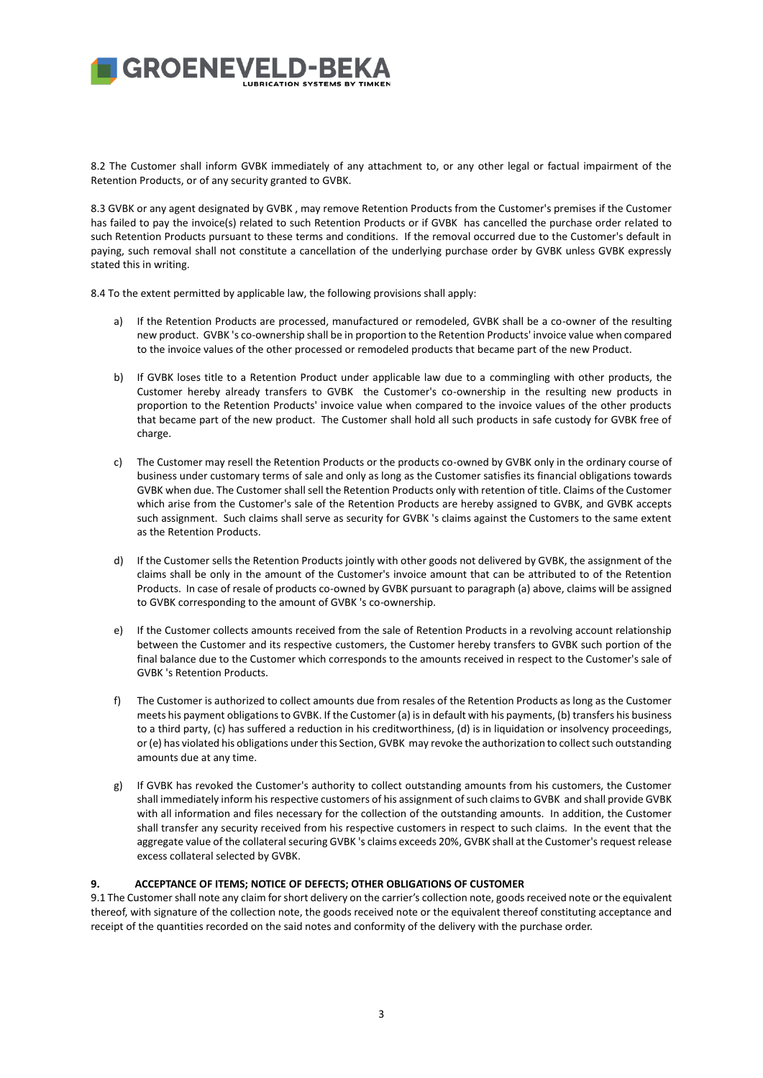8.2 The Customer shall inform GVBK immediately of any attachment to, or any other legal or factual impairment of the Retention Products, or of any security granted to GVBK.

8.3 GVBK or any agent designated by GVBK , may remove Retention Products from the Customer's premises if the Customer has failed to pay the invoice(s) related to such Retention Products or if GVBK has cancelled the purchase order related to such Retention Products pursuant to these terms and conditions. If the removal occurred due to the Customer's default in paying, such removal shall not constitute a cancellation of the underlying purchase order by GVBK unless GVBK expressly stated this in writing.

8.4 To the extent permitted by applicable law, the following provisions shall apply:

- a) If the Retention Products are processed, manufactured or remodeled, GVBK shall be a co-owner of the resulting new product. GVBK 's co-ownership shall be in proportion to the Retention Products' invoice value when compared to the invoice values of the other processed or remodeled products that became part of the new Product.
- b) If GVBK loses title to a Retention Product under applicable law due to a commingling with other products, the Customer hereby already transfers to GVBK the Customer's co-ownership in the resulting new products in proportion to the Retention Products' invoice value when compared to the invoice values of the other products that became part of the new product. The Customer shall hold all such products in safe custody for GVBK free of charge.
- c) The Customer may resell the Retention Products or the products co-owned by GVBK only in the ordinary course of business under customary terms of sale and only as long as the Customer satisfies its financial obligations towards GVBK when due. The Customer shall sell the Retention Products only with retention of title. Claims of the Customer which arise from the Customer's sale of the Retention Products are hereby assigned to GVBK, and GVBK accepts such assignment. Such claims shall serve as security for GVBK 's claims against the Customers to the same extent as the Retention Products.
- d) If the Customer sells the Retention Products jointly with other goods not delivered by GVBK, the assignment of the claims shall be only in the amount of the Customer's invoice amount that can be attributed to of the Retention Products. In case of resale of products co-owned by GVBK pursuant to paragraph (a) above, claims will be assigned to GVBK corresponding to the amount of GVBK 's co-ownership.
- e) If the Customer collects amounts received from the sale of Retention Products in a revolving account relationship between the Customer and its respective customers, the Customer hereby transfers to GVBK such portion of the final balance due to the Customer which corresponds to the amounts received in respect to the Customer's sale of GVBK 's Retention Products.
- f) The Customer is authorized to collect amounts due from resales of the Retention Products as long as the Customer meets his payment obligations to GVBK. If the Customer (a) is in default with his payments, (b) transfers his business to a third party, (c) has suffered a reduction in his creditworthiness, (d) is in liquidation or insolvency proceedings, or (e) has violated his obligations under this Section, GVBK may revoke the authorization to collect such outstanding amounts due at any time.
- g) If GVBK has revoked the Customer's authority to collect outstanding amounts from his customers, the Customer shall immediately inform his respective customers of his assignment of such claims to GVBK and shall provide GVBK with all information and files necessary for the collection of the outstanding amounts. In addition, the Customer shall transfer any security received from his respective customers in respect to such claims. In the event that the aggregate value of the collateral securing GVBK 's claims exceeds 20%, GVBK shall at the Customer's request release excess collateral selected by GVBK.

### **9. ACCEPTANCE OF ITEMS; NOTICE OF DEFECTS; OTHER OBLIGATIONS OF CUSTOMER**

9.1 The Customer shall note any claim for short delivery on the carrier's collection note, goods received note or the equivalent thereof, with signature of the collection note, the goods received note or the equivalent thereof constituting acceptance and receipt of the quantities recorded on the said notes and conformity of the delivery with the purchase order.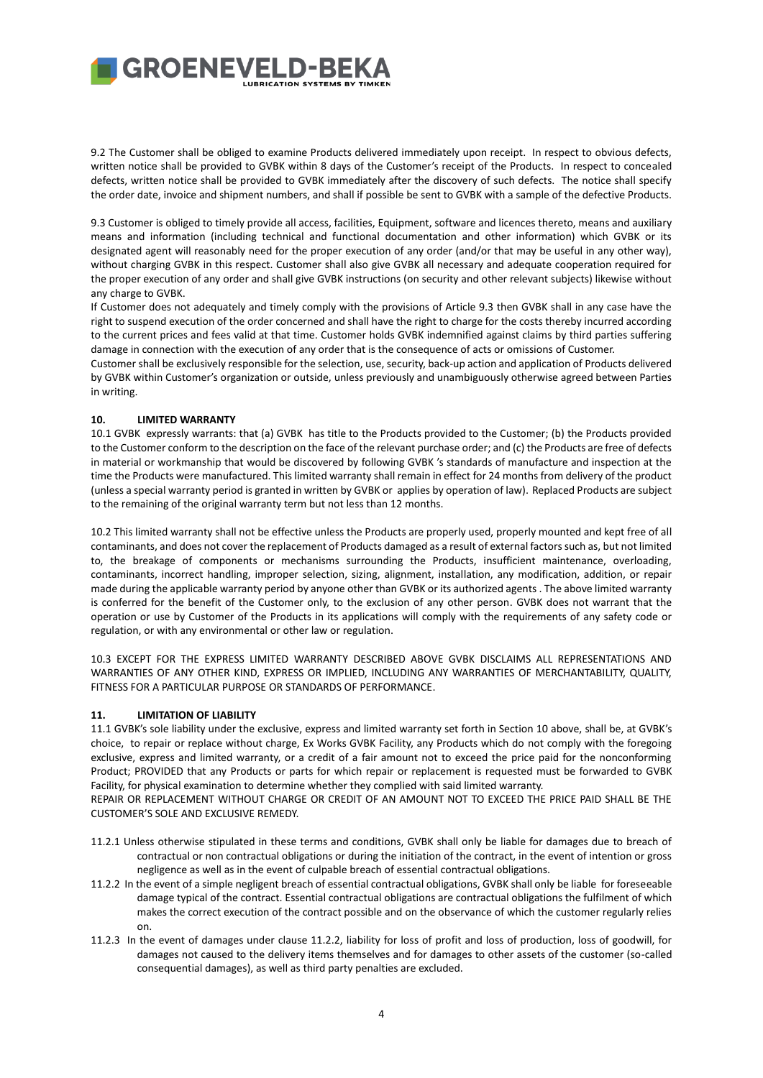9.2 The Customer shall be obliged to examine Products delivered immediately upon receipt. In respect to obvious defects, written notice shall be provided to GVBK within 8 days of the Customer's receipt of the Products. In respect to concealed defects, written notice shall be provided to GVBK immediately after the discovery of such defects. The notice shall specify the order date, invoice and shipment numbers, and shall if possible be sent to GVBK with a sample of the defective Products.

9.3 Customer is obliged to timely provide all access, facilities, Equipment, software and licences thereto, means and auxiliary means and information (including technical and functional documentation and other information) which GVBK or its designated agent will reasonably need for the proper execution of any order (and/or that may be useful in any other way), without charging GVBK in this respect. Customer shall also give GVBK all necessary and adequate cooperation required for the proper execution of any order and shall give GVBK instructions (on security and other relevant subjects) likewise without any charge to GVBK.

If Customer does not adequately and timely comply with the provisions of Article 9.3 then GVBK shall in any case have the right to suspend execution of the order concerned and shall have the right to charge for the costs thereby incurred according to the current prices and fees valid at that time. Customer holds GVBK indemnified against claims by third parties suffering damage in connection with the execution of any order that is the consequence of acts or omissions of Customer.

Customer shall be exclusively responsible for the selection, use, security, back-up action and application of Products delivered by GVBK within Customer's organization or outside, unless previously and unambiguously otherwise agreed between Parties in writing.

## **10. LIMITED WARRANTY**

10.1 GVBK expressly warrants: that (a) GVBK has title to the Products provided to the Customer; (b) the Products provided to the Customer conform to the description on the face of the relevant purchase order; and (c) the Products are free of defects in material or workmanship that would be discovered by following GVBK 's standards of manufacture and inspection at the time the Products were manufactured. This limited warranty shall remain in effect for 24 months from delivery of the product (unless a special warranty period is granted in written by GVBK or applies by operation of law). Replaced Products are subject to the remaining of the original warranty term but not less than 12 months.

10.2 This limited warranty shall not be effective unless the Products are properly used, properly mounted and kept free of all contaminants, and does not cover the replacement of Products damaged as a result of external factors such as, but not limited to, the breakage of components or mechanisms surrounding the Products, insufficient maintenance, overloading, contaminants, incorrect handling, improper selection, sizing, alignment, installation, any modification, addition, or repair made during the applicable warranty period by anyone other than GVBK or its authorized agents . The above limited warranty is conferred for the benefit of the Customer only, to the exclusion of any other person. GVBK does not warrant that the operation or use by Customer of the Products in its applications will comply with the requirements of any safety code or regulation, or with any environmental or other law or regulation.

10.3 EXCEPT FOR THE EXPRESS LIMITED WARRANTY DESCRIBED ABOVE GVBK DISCLAIMS ALL REPRESENTATIONS AND WARRANTIES OF ANY OTHER KIND, EXPRESS OR IMPLIED, INCLUDING ANY WARRANTIES OF MERCHANTABILITY, QUALITY, FITNESS FOR A PARTICULAR PURPOSE OR STANDARDS OF PERFORMANCE.

### **11. LIMITATION OF LIABILITY**

11.1 GVBK's sole liability under the exclusive, express and limited warranty set forth in Section 10 above, shall be, at GVBK's choice, to repair or replace without charge, Ex Works GVBK Facility, any Products which do not comply with the foregoing exclusive, express and limited warranty, or a credit of a fair amount not to exceed the price paid for the nonconforming Product; PROVIDED that any Products or parts for which repair or replacement is requested must be forwarded to GVBK Facility, for physical examination to determine whether they complied with said limited warranty.

REPAIR OR REPLACEMENT WITHOUT CHARGE OR CREDIT OF AN AMOUNT NOT TO EXCEED THE PRICE PAID SHALL BE THE CUSTOMER'S SOLE AND EXCLUSIVE REMEDY.

- 11.2.1 Unless otherwise stipulated in these terms and conditions, GVBK shall only be liable for damages due to breach of contractual or non contractual obligations or during the initiation of the contract, in the event of intention or gross negligence as well as in the event of culpable breach of essential contractual obligations.
- 11.2.2 In the event of a simple negligent breach of essential contractual obligations, GVBK shall only be liable for foreseeable damage typical of the contract. Essential contractual obligations are contractual obligations the fulfilment of which makes the correct execution of the contract possible and on the observance of which the customer regularly relies on.
- 11.2.3 In the event of damages under clause 11.2.2, liability for loss of profit and loss of production, loss of goodwill, for damages not caused to the delivery items themselves and for damages to other assets of the customer (so-called consequential damages), as well as third party penalties are excluded.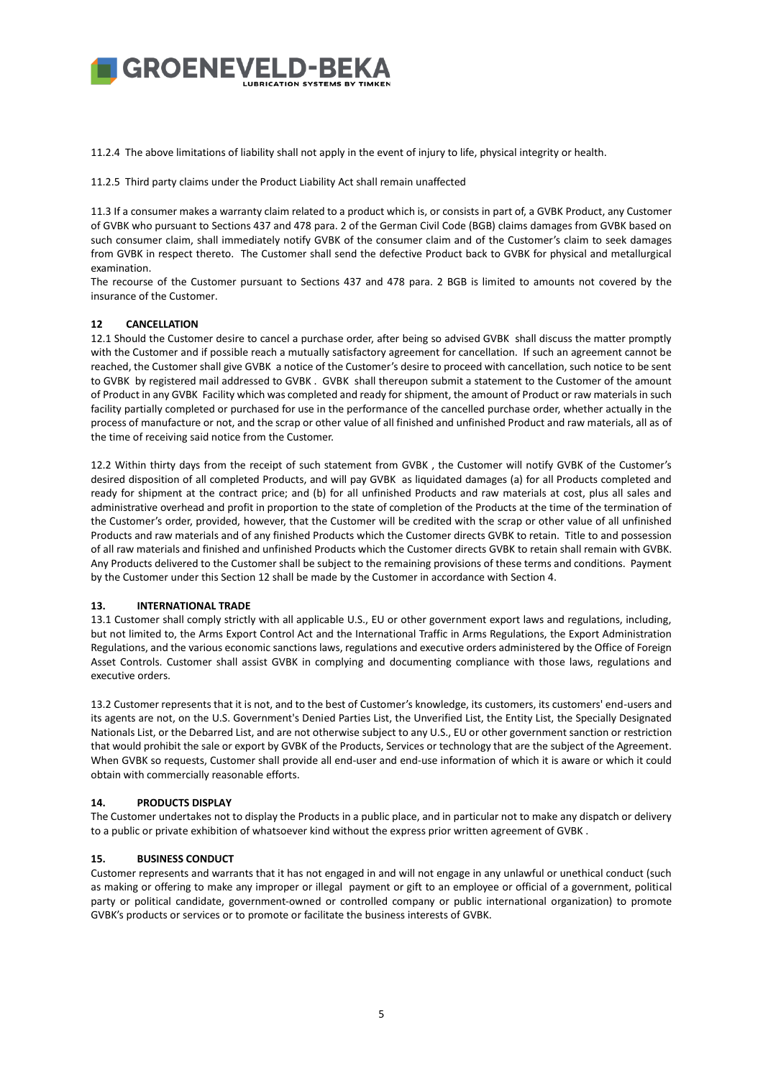11.2.4 The above limitations of liability shall not apply in the event of injury to life, physical integrity or health.

11.2.5 Third party claims under the Product Liability Act shall remain unaffected

11.3 If a consumer makes a warranty claim related to a product which is, or consists in part of, a GVBK Product, any Customer of GVBK who pursuant to Sections 437 and 478 para. 2 of the German Civil Code (BGB) claims damages from GVBK based on such consumer claim, shall immediately notify GVBK of the consumer claim and of the Customer's claim to seek damages from GVBK in respect thereto. The Customer shall send the defective Product back to GVBK for physical and metallurgical examination.

The recourse of the Customer pursuant to Sections 437 and 478 para. 2 BGB is limited to amounts not covered by the insurance of the Customer.

## **12 CANCELLATION**

12.1 Should the Customer desire to cancel a purchase order, after being so advised GVBK shall discuss the matter promptly with the Customer and if possible reach a mutually satisfactory agreement for cancellation. If such an agreement cannot be reached, the Customer shall give GVBK a notice of the Customer's desire to proceed with cancellation, such notice to be sent to GVBK by registered mail addressed to GVBK . GVBK shall thereupon submit a statement to the Customer of the amount of Product in any GVBK Facility which was completed and ready for shipment, the amount of Product or raw materials in such facility partially completed or purchased for use in the performance of the cancelled purchase order, whether actually in the process of manufacture or not, and the scrap or other value of all finished and unfinished Product and raw materials, all as of the time of receiving said notice from the Customer.

12.2 Within thirty days from the receipt of such statement from GVBK , the Customer will notify GVBK of the Customer's desired disposition of all completed Products, and will pay GVBK as liquidated damages (a) for all Products completed and ready for shipment at the contract price; and (b) for all unfinished Products and raw materials at cost, plus all sales and administrative overhead and profit in proportion to the state of completion of the Products at the time of the termination of the Customer's order, provided, however, that the Customer will be credited with the scrap or other value of all unfinished Products and raw materials and of any finished Products which the Customer directs GVBK to retain. Title to and possession of all raw materials and finished and unfinished Products which the Customer directs GVBK to retain shall remain with GVBK. Any Products delivered to the Customer shall be subject to the remaining provisions of these terms and conditions. Payment by the Customer under this Section 12 shall be made by the Customer in accordance with Section 4.

### **13. INTERNATIONAL TRADE**

13.1 Customer shall comply strictly with all applicable U.S., EU or other government export laws and regulations, including, but not limited to, the Arms Export Control Act and the International Traffic in Arms Regulations, the Export Administration Regulations, and the various economic sanctions laws, regulations and executive orders administered by the Office of Foreign Asset Controls. Customer shall assist GVBK in complying and documenting compliance with those laws, regulations and executive orders.

13.2 Customer represents that it is not, and to the best of Customer's knowledge, its customers, its customers' end-users and its agents are not, on the U.S. Government's Denied Parties List, the Unverified List, the Entity List, the Specially Designated Nationals List, or the Debarred List, and are not otherwise subject to any U.S., EU or other government sanction or restriction that would prohibit the sale or export by GVBK of the Products, Services or technology that are the subject of the Agreement. When GVBK so requests, Customer shall provide all end-user and end-use information of which it is aware or which it could obtain with commercially reasonable efforts.

### **14. PRODUCTS DISPLAY**

The Customer undertakes not to display the Products in a public place, and in particular not to make any dispatch or delivery to a public or private exhibition of whatsoever kind without the express prior written agreement of GVBK .

### **15. BUSINESS CONDUCT**

Customer represents and warrants that it has not engaged in and will not engage in any unlawful or unethical conduct (such as making or offering to make any improper or illegal payment or gift to an employee or official of a government, political party or political candidate, government-owned or controlled company or public international organization) to promote GVBK's products or services or to promote or facilitate the business interests of GVBK.